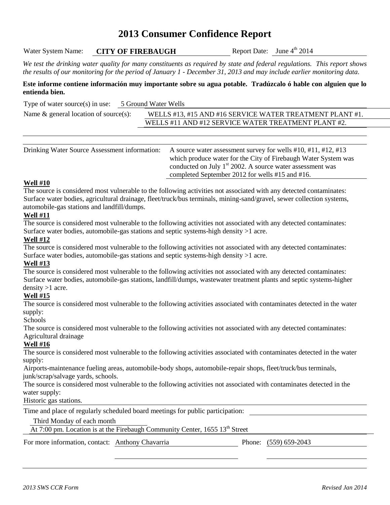# **2013 Consumer Confidence Report**

Water System Name: **CITY OF FIREBAUGH** 

Report Date: June  $4<sup>th</sup>$  2014

*We test the drinking water quality for many constituents as required by state and federal regulations. This report shows the results of our monitoring for the period of January 1 - December 31, 2013 and may include earlier monitoring data.*

#### **Este informe contiene información muy importante sobre su agua potable. Tradúzcalo ó hable con alguien que lo entienda bien.**

Type of water source(s) in use: 5 Ground Water Wells

| Name $\&$ general location of source(s): | <b>WELLS</b> #13, #15 AND |
|------------------------------------------|---------------------------|
|                                          | WEI I C $#11$ AND $#12$   |

) #16 SERVICE WATER TREATMENT PLANT #1. WELLS #11 AND #12 SERVICE WATER TREATMENT PLANT #2.

| Drinking Water Source Assessment information: | A source water assessment survey for wells $\#10$ , $\#11$ , $\#12$ , $\#13$ |
|-----------------------------------------------|------------------------------------------------------------------------------|
|                                               | which produce water for the City of Firebaugh Water System was               |
|                                               | conducted on July $1st 2002$ . A source water assessment was                 |
|                                               | completed September 2012 for wells #15 and #16.                              |

#### **Well #10**

The source is considered most vulnerable to the following activities not associated with any detected contaminates: Surface water bodies, agricultural drainage, fleet/truck/bus terminals, mining-sand/gravel, sewer collection systems, automobile-gas stations and landfill/dumps.

#### **Well #11**

The source is considered most vulnerable to the following activities not associated with any detected contaminates: Surface water bodies, automobile-gas stations and septic systems-high density >1 acre.

#### **Well #12**

The source is considered most vulnerable to the following activities not associated with any detected contaminates: Surface water bodies, automobile-gas stations and septic systems-high density >1 acre.

#### **Well #13**

The source is considered most vulnerable to the following activities not associated with any detected contaminates: Surface water bodies, automobile-gas stations, landfill/dumps, wastewater treatment plants and septic systems-higher density >1 acre.

### **Well #15**

The source is considered most vulnerable to the following activities associated with contaminates detected in the water supply:

Schools

The source is considered most vulnerable to the following activities not associated with any detected contaminates: Agricultural drainage

### **Well #16**

The source is considered most vulnerable to the following activities associated with contaminates detected in the water supply:

Airports-maintenance fueling areas, automobile-body shops, automobile-repair shops, fleet/truck/bus terminals, junk/scrap/salvage yards, schools.

The source is considered most vulnerable to the following activities not associated with contaminates detected in the water supply:

Historic gas stations.

Time and place of regularly scheduled board meetings for public participation:

#### Third Monday of each month

At  $7:00$  pm. Location is at the Firebaugh Community Center, 1655 13<sup>th</sup> Street

For more information, contact: Anthony Chavarria Phone: (559) 659-2043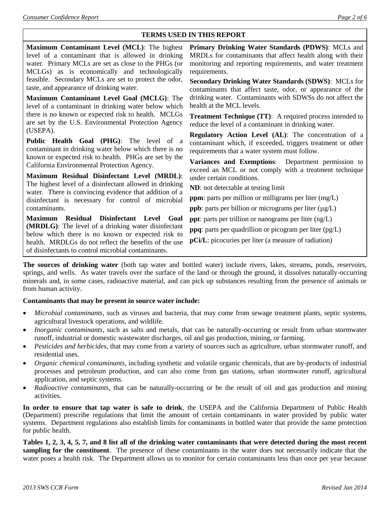### **TERMS USED IN THIS REPORT**

**Maximum Contaminant Level (MCL)**: The highest level of a contaminant that is allowed in drinking water. Primary MCLs are set as close to the PHGs (or MCLGs) as is economically and technologically feasible. Secondary MCLs are set to protect the odor, taste, and appearance of drinking water.

**Maximum Contaminant Level Goal (MCLG)**: The level of a contaminant in drinking water below which there is no known or expected risk to health. MCLGs are set by the U.S. Environmental Protection Agency (USEPA).

**Public Health Goal (PHG)**: The level of a contaminant in drinking water below which there is no known or expected risk to health. PHGs are set by the California Environmental Protection Agency.

**Maximum Residual Disinfectant Level (MRDL)**: The highest level of a disinfectant allowed in drinking water. There is convincing evidence that addition of a disinfectant is necessary for control of microbial contaminants.

**Maximum Residual Disinfectant Level Goal (MRDLG)**: The level of a drinking water disinfectant below which there is no known or expected risk to health. MRDLGs do not reflect the benefits of the use of disinfectants to control microbial contaminants.

**Primary Drinking Water Standards (PDWS)**: MCLs and MRDLs for contaminants that affect health along with their monitoring and reporting requirements, and water treatment requirements.

**Secondary Drinking Water Standards (SDWS)**:MCLs for contaminants that affect taste, odor, or appearance of the drinking water. Contaminants with SDWSs do not affect the health at the MCL levels.

**Treatment Technique (TT)**: A required process intended to reduce the level of a contaminant in drinking water.

**Regulatory Action Level (AL)**: The concentration of a contaminant which, if exceeded, triggers treatment or other requirements that a water system must follow.

**Variances and Exemptions**: Department permission to exceed an MCL or not comply with a treatment technique under certain conditions.

**ND**: not detectable at testing limit

**ppm**: parts per million or milligrams per liter (mg/L)

**ppb**: parts per billion or micrograms per liter  $(\mu g/L)$ 

**ppt**: parts per trillion or nanograms per liter (ng/L)

**ppq**: parts per quadrillion or picogram per liter (pg/L)

**pCi/L**: picocuries per liter (a measure of radiation)

**The sources of drinking water** (both tap water and bottled water) include rivers, lakes, streams, ponds, reservoirs, springs, and wells. As water travels over the surface of the land or through the ground, it dissolves naturally-occurring minerals and, in some cases, radioactive material, and can pick up substances resulting from the presence of animals or from human activity.

#### **Contaminants that may be present in source water include:**

- *Microbial contaminants*, such as viruses and bacteria, that may come from sewage treatment plants, septic systems, agricultural livestock operations, and wildlife.
- *Inorganic contaminants*, such as salts and metals, that can be naturally-occurring or result from urban stormwater runoff, industrial or domestic wastewater discharges, oil and gas production, mining, or farming.
- *Pesticides and herbicides*, that may come from a variety of sources such as agriculture, urban stormwater runoff, and residential uses.
- *Organic chemical contaminants*, including synthetic and volatile organic chemicals, that are by-products of industrial processes and petroleum production, and can also come from gas stations, urban stormwater runoff, agricultural application, and septic systems.
- *Radioactive contaminants*, that can be naturally-occurring or be the result of oil and gas production and mining activities.

**In order to ensure that tap water is safe to drink**, the USEPA and the California Department of Public Health (Department) prescribe regulations that limit the amount of certain contaminants in water provided by public water systems. Department regulations also establish limits for contaminants in bottled water that provide the same protection for public health.

**Tables 1, 2, 3, 4, 5, 7, and 8 list all of the drinking water contaminants that were detected during the most recent sampling for the constituent**. The presence of these contaminants in the water does not necessarily indicate that the water poses a health risk. The Department allows us to monitor for certain contaminants less than once per year because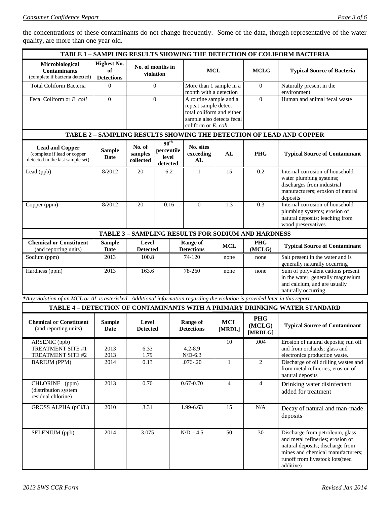the concentrations of these contaminants do not change frequently. Some of the data, though representative of the water quality, are more than one year old.

| <b>TABLE 1 - SAMPLING RESULTS SHOWING THE DETECTION OF COLIFORM BACTERIA</b>                                                   |                                               |                                |                                                     |                                                                                                                                 |                      |                                                           |                                                                                                                                                                                              |
|--------------------------------------------------------------------------------------------------------------------------------|-----------------------------------------------|--------------------------------|-----------------------------------------------------|---------------------------------------------------------------------------------------------------------------------------------|----------------------|-----------------------------------------------------------|----------------------------------------------------------------------------------------------------------------------------------------------------------------------------------------------|
| Microbiological<br><b>Contaminants</b><br>(complete if bacteria detected)                                                      | <b>Highest No.</b><br>of<br><b>Detections</b> | No. of months in<br>violation  |                                                     | <b>MCL</b>                                                                                                                      |                      | <b>MCLG</b>                                               | <b>Typical Source of Bacteria</b>                                                                                                                                                            |
| Total Coliform Bacteria                                                                                                        | $\Omega$                                      |                                | $\Omega$                                            | More than 1 sample in a<br>month with a detection                                                                               |                      | $\mathbf{0}$                                              | Naturally present in the<br>environment                                                                                                                                                      |
| Fecal Coliform or E. coli                                                                                                      | $\overline{0}$                                |                                | $\Omega$                                            | A routine sample and a<br>repeat sample detect<br>total coliform and either<br>sample also detects fecal<br>coliform or E. coli |                      | $\overline{0}$                                            | Human and animal fecal waste                                                                                                                                                                 |
|                                                                                                                                |                                               |                                |                                                     |                                                                                                                                 |                      |                                                           | TABLE 2 - SAMPLING RESULTS SHOWING THE DETECTION OF LEAD AND COPPER                                                                                                                          |
| <b>Lead and Copper</b><br>(complete if lead or copper<br>detected in the last sample set)                                      | <b>Sample</b><br>Date                         | No. of<br>samples<br>collected | 90 <sup>th</sup><br>percentile<br>level<br>detected | No. sites<br>exceeding<br>AL                                                                                                    | AL                   | <b>PHG</b>                                                | <b>Typical Source of Contaminant</b>                                                                                                                                                         |
| Lead (ppb)                                                                                                                     | 8/2012                                        | 20                             | 6.2                                                 | $\mathbf{1}$                                                                                                                    | 15                   | 0.2                                                       | Internal corrosion of household<br>water plumbing systems;<br>discharges from industrial<br>manufacturers; erosion of natural<br>deposits                                                    |
| Copper (ppm)                                                                                                                   | 8/2012                                        | 20                             | 0.16                                                | $\overline{0}$                                                                                                                  | 1.3                  | 0.3                                                       | Internal corrosion of household<br>plumbing systems; erosion of<br>natural deposits; leaching from<br>wood preservatives                                                                     |
|                                                                                                                                |                                               |                                |                                                     |                                                                                                                                 |                      | <b>TABLE 3 - SAMPLING RESULTS FOR SODIUM AND HARDNESS</b> |                                                                                                                                                                                              |
| <b>Chemical or Constituent</b><br>(and reporting units)                                                                        | <b>Sample</b><br><b>Date</b>                  | Level<br><b>Detected</b>       |                                                     | <b>Range of</b><br><b>Detections</b>                                                                                            | <b>MCL</b>           | <b>PHG</b><br>(MCLG)                                      | <b>Typical Source of Contaminant</b>                                                                                                                                                         |
| Sodium (ppm)                                                                                                                   | 2013                                          | 100.8                          |                                                     | 74-120                                                                                                                          | none                 | none                                                      | Salt present in the water and is<br>generally naturally occurring                                                                                                                            |
| Hardness (ppm)                                                                                                                 | 2013                                          | 163.6                          |                                                     | 78-260                                                                                                                          | none                 | none                                                      | Sum of polyvalent cations present<br>in the water, generally magnesium<br>and calcium, and are usually<br>naturally occurring                                                                |
| *Any violation of an MCL or AL is asterisked. Additional information regarding the violation is provided later in this report. |                                               |                                |                                                     |                                                                                                                                 |                      |                                                           |                                                                                                                                                                                              |
|                                                                                                                                |                                               |                                |                                                     |                                                                                                                                 |                      |                                                           | TABLE 4 - DETECTION OF CONTAMINANTS WITH A PRIMARY DRINKING WATER STANDARD                                                                                                                   |
| <b>Chemical or Constituent</b><br>(and reporting units)                                                                        | <b>Sample</b><br>Date                         | Level<br><b>Detected</b>       |                                                     | <b>Range of</b><br><b>Detections</b>                                                                                            | <b>MCL</b><br>[MRDL] | <b>PHG</b><br>(MCLG)<br>[MRDLG]                           | <b>Typical Source of Contaminant</b>                                                                                                                                                         |
| ARSENIC (ppb)<br>TREATMENT SITE #1<br>TREATMENT SITE #2                                                                        | 2013<br>2013                                  | 6.33<br>1.79                   |                                                     | $4.2 - 8.9$<br>$N/D-6.3$                                                                                                        | 10                   | .004                                                      | Erosion of natural deposits; run off<br>and from orchards; glass and<br>electronics production waste.                                                                                        |
| <b>BARIUM (PPM)</b>                                                                                                            | 2014                                          | 0.13                           |                                                     | $.076 - .20$                                                                                                                    | $\mathbf{1}$         | $\overline{2}$                                            | Discharge of oil drilling wastes and<br>from metal refineries; erosion of<br>natural deposits                                                                                                |
| CHLORINE (ppm)<br>(distribution system<br>residual chlorine)                                                                   | 2013                                          | 0.70                           |                                                     | $0.67 - 0.70$                                                                                                                   | $\overline{4}$       | $\overline{4}$                                            | Drinking water disinfectant<br>added for treatment                                                                                                                                           |
| GROSS ALPHA (pCi/L)                                                                                                            | 2010                                          | 3.31                           |                                                     | $1.99 - 6.63$                                                                                                                   | 15                   | $\rm N/A$                                                 | Decay of natural and man-made<br>deposits                                                                                                                                                    |
| SELENIUM (ppb)                                                                                                                 | 2014                                          | 3.075                          |                                                     | $N/D - 4.5$                                                                                                                     | 50                   | 30                                                        | Discharge from petroleum, glass<br>and metal refineries; erosion of<br>natural deposits; discharge from<br>mines and chemical manufacturers;<br>runoff from livestock lots(feed<br>additive) |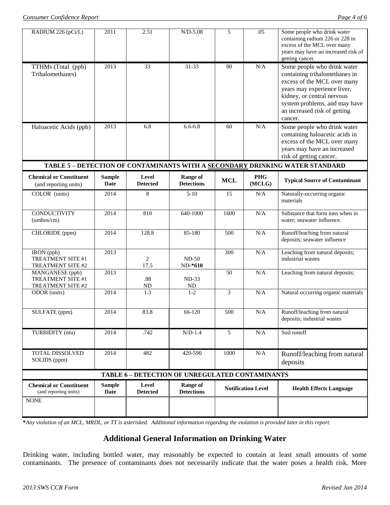| RADIUM 226 (pCi/L)                                        | 2011                         | 2.51                     | $N/D-5.08$                           | 5                         | .05                  | Some people who drink water<br>containing radium 226 or 228 in<br>excess of the MCL over many<br>years may have an increased risk of<br>getting cancer.                                                                              |
|-----------------------------------------------------------|------------------------------|--------------------------|--------------------------------------|---------------------------|----------------------|--------------------------------------------------------------------------------------------------------------------------------------------------------------------------------------------------------------------------------------|
| TTHMs (Total (ppb)<br>Trihalomethanes)                    | 2013                         | 33                       | $31 - 33$                            | 80                        | N/A                  | Some people who drink water<br>containing trihalomethanes in<br>excess of the MCL over many<br>years may experience liver,<br>kidney, or central nervous<br>system problems, and may have<br>an increased risk of getting<br>cancer. |
| Haloacetic Acids (ppb)                                    | 2013                         | 6.8                      | $6.6 - 6.8$                          | 60                        | N/A                  | Some people who drink water<br>containing haloacetic acids in<br>excess of the MCL over many<br>years may have an increased<br>risk of getting cancer.                                                                               |
|                                                           |                              |                          |                                      |                           |                      | TABLE 5 - DETECTION OF CONTAMINANTS WITH A SECONDARY DRINKING WATER STANDARD                                                                                                                                                         |
| <b>Chemical or Constituent</b><br>(and reporting units)   | <b>Sample</b><br><b>Date</b> | Level<br><b>Detected</b> | Range of<br><b>Detections</b>        | <b>MCL</b>                | <b>PHG</b><br>(MCLG) | <b>Typical Source of Contaminant</b>                                                                                                                                                                                                 |
| COLOR (units)                                             | 2014                         | 8                        | $5 - 10$                             | 15                        | N/A                  | Naturally-occurring organic<br>materials                                                                                                                                                                                             |
| <b>CONDUCTIVITY</b><br>(umhos/cm)                         | 2014                         | 810                      | 640-1000                             | 1600                      | N/A                  | Substance that form ions when in<br>water; seawater influence.                                                                                                                                                                       |
| CHLORIDE (ppm)                                            | 2014                         | 128.8                    | 85-180                               | 500                       | N/A                  | Runoff/leaching from natural<br>deposits; seawater influence                                                                                                                                                                         |
| IRON (ppb)<br>TREATMENT SITE #1<br>TREATMENT SITE #2      | 2013                         | 2<br>17.5                | $ND-50$<br>$ND-*610$                 | 300                       | N/A                  | Leaching from natural deposits;<br>industrial wastes                                                                                                                                                                                 |
| MANGANESE (ppb)<br>TREATMENT SITE #1<br>TREATMENT SITE #2 | 2013                         | .88<br>ND                | $ND-33$<br>ND                        | 50                        | N/A                  | Leaching from natural deposits;                                                                                                                                                                                                      |
| ODOR (units)                                              | 2014                         | 1.3                      | $1 - 2$                              | 3                         | N/A                  | Natural occurring organic materials                                                                                                                                                                                                  |
| SULFATE (ppm)                                             | 2014                         | 83.8                     | 66-120                               | 500                       | N/A                  | Runoff/leaching from natural<br>deposits; industrial wastes                                                                                                                                                                          |
| TURBIDITY (ntu)                                           | 2014                         | .742                     | $N/D-1.4$                            | 5                         | N/A                  | Soil runoff                                                                                                                                                                                                                          |
| <b>TOTAL DISSOLVED</b><br>SOLIDS (ppm)                    | 2014                         | 482                      | 420-590                              | 1000                      | N/A                  | Runoff/leaching from natural<br>deposits                                                                                                                                                                                             |
| TABLE 6 - DETECTION OF UNREGULATED CONTAMINANTS           |                              |                          |                                      |                           |                      |                                                                                                                                                                                                                                      |
| <b>Chemical or Constituent</b><br>(and reporting units)   | <b>Sample</b><br><b>Date</b> | Level<br><b>Detected</b> | <b>Range of</b><br><b>Detections</b> | <b>Notification Level</b> |                      | <b>Health Effects Language</b>                                                                                                                                                                                                       |
| <b>NONE</b>                                               |                              |                          |                                      |                           |                      |                                                                                                                                                                                                                                      |

**\****Any violation of an MCL, MRDL, or TT is asterisked. Additional information regarding the violation is provided later in this report.*

## **Additional General Information on Drinking Water**

Drinking water, including bottled water, may reasonably be expected to contain at least small amounts of some contaminants. The presence of contaminants does not necessarily indicate that the water poses a health risk. More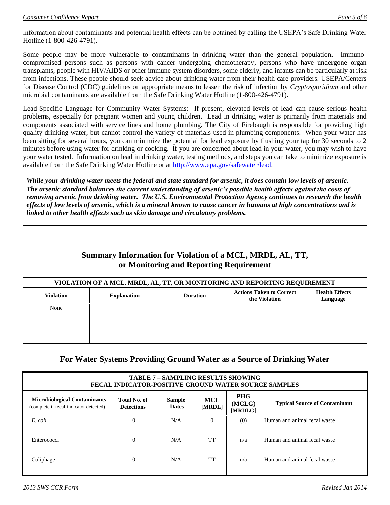information about contaminants and potential health effects can be obtained by calling the USEPA's Safe Drinking Water Hotline (1-800-426-4791).

Some people may be more vulnerable to contaminants in drinking water than the general population. Immunocompromised persons such as persons with cancer undergoing chemotherapy, persons who have undergone organ transplants, people with HIV/AIDS or other immune system disorders, some elderly, and infants can be particularly at risk from infections. These people should seek advice about drinking water from their health care providers. USEPA/Centers for Disease Control (CDC) guidelines on appropriate means to lessen the risk of infection by *Cryptosporidium* and other microbial contaminants are available from the Safe Drinking Water Hotline (1-800-426-4791).

Lead-Specific Language for Community Water Systems: If present, elevated levels of lead can cause serious health problems, especially for pregnant women and young children. Lead in drinking water is primarily from materials and components associated with service lines and home plumbing. The City of Firebaugh is responsible for providing high quality drinking water, but cannot control the variety of materials used in plumbing components. When your water has been sitting for several hours, you can minimize the potential for lead exposure by flushing your tap for 30 seconds to 2 minutes before using water for drinking or cooking. If you are concerned about lead in your water, you may wish to have your water tested. Information on lead in drinking water, testing methods, and steps you can take to minimize exposure is available from the Safe Drinking Water Hotline or at [http://www.epa.gov/safewater/lead.](http://www.epa.gov/safewater/lead)

*While your drinking water meets the federal and state standard for arsenic, it does contain low levels of arsenic. The arsenic standard balances the current understanding of arsenic's possible health effects against the costs of removing arsenic from drinking water. The U.S. Environmental Protection Agency continues to research the health effects of low levels of arsenic, which is a mineral known to cause cancer in humans at high concentrations and is linked to other health effects such as skin damage and circulatory problems.*

# **Summary Information for Violation of a MCL, MRDL, AL, TT, or Monitoring and Reporting Requirement**

| VIOLATION OF A MCL, MRDL, AL, TT, OR MONITORING AND REPORTING REQUIREMENT |                    |                 |                                                  |                                   |  |  |
|---------------------------------------------------------------------------|--------------------|-----------------|--------------------------------------------------|-----------------------------------|--|--|
| <b>Violation</b>                                                          | <b>Explanation</b> | <b>Duration</b> | <b>Actions Taken to Correct</b><br>the Violation | <b>Health Effects</b><br>Language |  |  |
| None                                                                      |                    |                 |                                                  |                                   |  |  |
|                                                                           |                    |                 |                                                  |                                   |  |  |
|                                                                           |                    |                 |                                                  |                                   |  |  |
|                                                                           |                    |                 |                                                  |                                   |  |  |

## **For Water Systems Providing Ground Water as a Source of Drinking Water**

| <b>TABLE 7 - SAMPLING RESULTS SHOWING</b><br><b>FECAL INDICATOR-POSITIVE GROUND WATER SOURCE SAMPLES</b> |                                                                                                                                                                       |     |           |     |                              |  |
|----------------------------------------------------------------------------------------------------------|-----------------------------------------------------------------------------------------------------------------------------------------------------------------------|-----|-----------|-----|------------------------------|--|
| <b>Microbiological Contaminants</b><br>(complete if fecal-indicator detected)                            | <b>PHG</b><br>Total No. of<br><b>MCL</b><br><b>Sample</b><br><b>Typical Source of Contaminant</b><br>(MCLG)<br><b>Dates</b><br>[MRDL]<br><b>Detections</b><br>[MRDLG] |     |           |     |                              |  |
| E. coli                                                                                                  | $\Omega$                                                                                                                                                              | N/A | $\Omega$  | (0) | Human and animal fecal waste |  |
| Enterococci                                                                                              | $\Omega$                                                                                                                                                              | N/A | <b>TT</b> | n/a | Human and animal fecal waste |  |
| Coliphage                                                                                                | $\Omega$                                                                                                                                                              | N/A | TT        | n/a | Human and animal fecal waste |  |